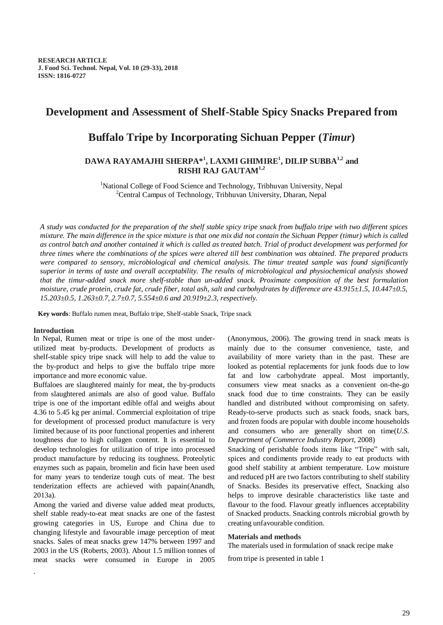## **Development and Assessment of Shelf-Stable Spicy Snacks Prepared from**

# **Buffalo Tripe by Incorporating Sichuan Pepper (***Timur***)**

### **DAWA RAYAMAJHI SHERPA\* 1 , LAXMI GHIMIRE<sup>1</sup> , DILIP SUBBA1,2 and RISHI RAJ GAUTAM1,2**

<sup>1</sup>National College of Food Science and Technology, Tribhuvan University, Nepal <sup>2</sup>Central Campus of Technology, Tribhuvan University, Dharan, Nepal

*A study was conducted for the preparation of the shelf stable spicy tripe snack from buffalo tripe with two different spices mixture. The main difference in the spice mixture is that one mix did not contain the Sichuan Pepper (timur) which is called as control batch and another contained it which is called as treated batch. Trial of product development was performed for three times where the combinations of the spices were altered till best combination was obtained. The prepared products*  were compared to sensory, microbiological and chemical analysis. The timur treated sample was found significantly *superior in terms of taste and overall acceptability. The results of microbiological and physiochemical analysis showed that the timur-added snack more shelf-stable than un-added snack. Proximate composition of the best formulation moisture, crude protein, crude fat, crude fiber, total ash, salt and carbohydrates by difference are 43.915±1.5, 10.447±0.5, 15.203±0.5, 1.263±0.7, 2.7±0.7, 5.554±0.6 and 20.919±2.3, respectively.*

**Key words**: Buffalo rumen meat, Buffalo tripe, Shelf-stable Snack, Tripe snack

#### **Introduction**

.

In Nepal, Rumen meat or tripe is one of the most underutilized meat by-products. Development of products as shelf-stable spicy tripe snack will help to add the value to the by-product and helps to give the buffalo tripe more importance and more economic value.

Buffaloes are slaughtered mainly for meat, the by-products from slaughtered animals are also of good value. Buffalo tripe is one of the important edible offal and weighs about 4.36 to 5.45 kg per animal. Commercial exploitation of tripe for development of processed product manufacture is very limited because of its poor functional properties and inherent toughness due to high collagen content. It is essential to develop technologies for utilization of tripe into processed product manufacture by reducing its toughness. Proteolytic enzymes such as papain, bromelin and ficin have been used for many years to tenderize tough cuts of meat. The best tenderization effects are achieved with papain(Anandh, 2013a).

Among the varied and diverse value added meat products, shelf stable ready-to-eat meat snacks are one of the fastest growing categories in US, Europe and China due to changing lifestyle and favourable image perception of meat snacks. Sales of meat snacks grew 147% between 1997 and 2003 in the US (Roberts, 2003). About 1.5 million tonnes of meat snacks were consumed in Europe in 2005

(Anonymous, 2006). The growing trend in snack meats is mainly due to the consumer convenience, taste, and availability of more variety than in the past. These are looked as potential replacements for junk foods due to low fat and low carbohydrate appeal. Most importantly, consumers view meat snacks as a convenient on-the-go snack food due to time constraints. They can be easily handled and distributed without compromising on safety. Ready-to-serve products such as snack foods, snack bars, and frozen foods are popular with double income households and consumers who are generally short on time(*U.S. Department of Commerce Industry Report*, 2008)

Snacking of perishable foods items like "Tripe" with salt, spices and condiments provide ready to eat products with good shelf stability at ambient temperature. Low moisture and reduced pH are two factors contributing to shelf stability of Snacks. Besides its preservative effect, Snacking also helps to improve desirable characteristics like taste and flavour to the food. Flavour greatly influences acceptability of Snacked products. Snacking controls microbial growth by creating unfavourable condition.

#### **Materials and methods**

The materials used in formulation of snack recipe make

from tripe is presented in table 1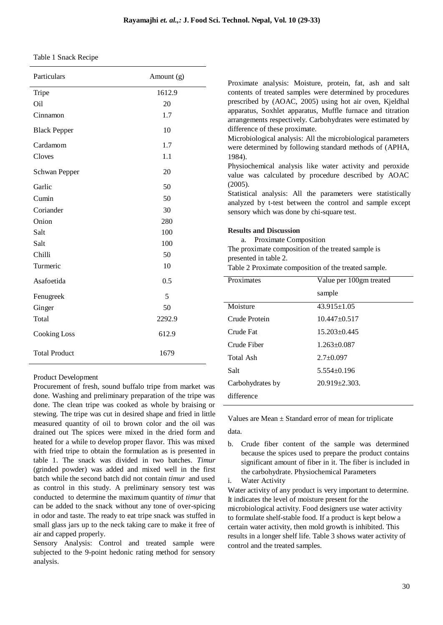| Table 1 Snack Recipe |  |
|----------------------|--|
|----------------------|--|

| Particulars          | Amount (g) |
|----------------------|------------|
| Tripe                | 1612.9     |
| Oil                  | 20         |
| Cinnamon             | 1.7        |
| <b>Black Pepper</b>  | 10         |
| Cardamom             | 1.7        |
| Cloves               | 1.1        |
| <b>Schwan Pepper</b> | 20         |
| Garlic               | 50         |
| Cumin                | 50         |
| Coriander            | 30         |
| Onion                | 280        |
| Salt                 | 100        |
| Salt                 | 100        |
| Chilli               | 50         |
| Turmeric             | 10         |
| Asafoetida           | 0.5        |
| Fenugreek            | 5          |
| Ginger               | 50         |
| Total                | 2292.9     |
| <b>Cooking Loss</b>  | 612.9      |
| <b>Total Product</b> | 1679       |

Product Development

Procurement of fresh, sound buffalo tripe from market was done. Washing and preliminary preparation of the tripe was done. The clean tripe was cooked as whole by braising or stewing. The tripe was cut in desired shape and fried in little measured quantity of oil to brown color and the oil was drained out The spices were mixed in the dried form and heated for a while to develop proper flavor. This was mixed with fried tripe to obtain the formulation as is presented in table 1. The snack was divided in two batches. *Timur* (grinded powder) was added and mixed well in the first batch while the second batch did not contain *timur* and used as control in this study. A preliminary sensory test was conducted to determine the maximum quantity of *timur* that can be added to the snack without any tone of over-spicing in odor and taste. The ready to eat tripe snack was stuffed in small glass jars up to the neck taking care to make it free of air and capped properly.

Sensory Analysis: Control and treated sample were subjected to the 9-point hedonic rating method for sensory analysis.

Proximate analysis: Moisture, protein, fat, ash and salt contents of treated samples were determined by procedures prescribed by (AOAC, 2005) using hot air oven, Kjeldhal apparatus, Soxhlet apparatus, Muffle furnace and titration arrangements respectively. Carbohydrates were estimated by difference of these proximate.

Microbiological analysis: All the microbiological parameters were determined by following standard methods of (APHA, 1984).

Physiochemical analysis like water activity and peroxide value was calculated by procedure described by AOAC (2005).

Statistical analysis: All the parameters were statistically analyzed by t-test between the control and sample except sensory which was done by chi-square test.

#### **Results and Discussion**

a. Proximate Composition

The proximate composition of the treated sample is presented in table 2.

Table 2 Proximate composition of the treated sample.

| Value per 100gm treated |  |
|-------------------------|--|
| sample                  |  |
| $43.915 \pm 1.05$       |  |
| $10.447 + 0.517$        |  |
| $15.203 \pm 0.445$      |  |
| $1.263 \pm 0.087$       |  |
| $2.7 \pm 0.097$         |  |
| $5.554 \pm 0.196$       |  |
| $20.919 \pm 2.303$ .    |  |
|                         |  |
|                         |  |

Values are Mean  $\pm$  Standard error of mean for triplicate data.

b. Crude fiber content of the sample was determined because the spices used to prepare the product contains significant amount of fiber in it. The fiber is included in the carbohydrate. Physiochemical Parameters i. Water Activity

Water activity of any product is very important to determine. It indicates the level of moisture present for the microbiological activity. Food designers use water activity to formulate shelf-stable food. If a product is kept below a certain water activity, then mold growth is inhibited. This results in a longer shelf life. Table 3 shows water activity of control and the treated samples.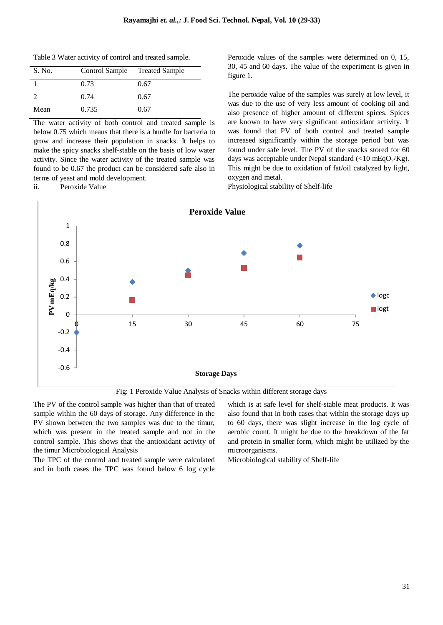Table 3 Water activity of control and treated sample.

| S. No.        | Control Sample Treated Sample |      |
|---------------|-------------------------------|------|
|               | 0.73                          | 0.67 |
| $\mathcal{L}$ | 0.74                          | 0.67 |
| Mean          | 0.735                         | 0.67 |

The water activity of both control and treated sample is below 0.75 which means that there is a hurdle for bacteria to grow and increase their population in snacks. It helps to make the spicy snacks shelf-stable on the basis of low water activity. Since the water activity of the treated sample was found to be 0.67 the product can be considered safe also in terms of yeast and mold development.

ii. Peroxide Value

Peroxide values of the samples were determined on 0, 15, 30, 45 and 60 days. The value of the experiment is given in figure 1.

The peroxide value of the samples was surely at low level, it was due to the use of very less amount of cooking oil and also presence of higher amount of different spices. Spices are known to have very significant antioxidant activity. It was found that PV of both control and treated sample increased significantly within the storage period but was found under safe level. The PV of the snacks stored for 60 days was acceptable under Nepal standard  $\langle$ <10 mEqO<sub>2</sub>/Kg). This might be due to oxidation of fat/oil catalyzed by light, oxygen and metal.

Physiological stability of Shelf-life



Fig: 1 Peroxide Value Analysis of Snacks within different storage days

The PV of the control sample was higher than that of treated sample within the 60 days of storage. Any difference in the PV shown between the two samples was due to the timur, which was present in the treated sample and not in the control sample. This shows that the antioxidant activity of the timur Microbiological Analysis

The TPC of the control and treated sample were calculated and in both cases the TPC was found below 6 log cycle

which is at safe level for shelf-stable meat products. It was also found that in both cases that within the storage days up to 60 days, there was slight increase in the log cycle of aerobic count. It might be due to the breakdown of the fat and protein in smaller form, which might be utilized by the microorganisms.

Microbiological stability of Shelf-life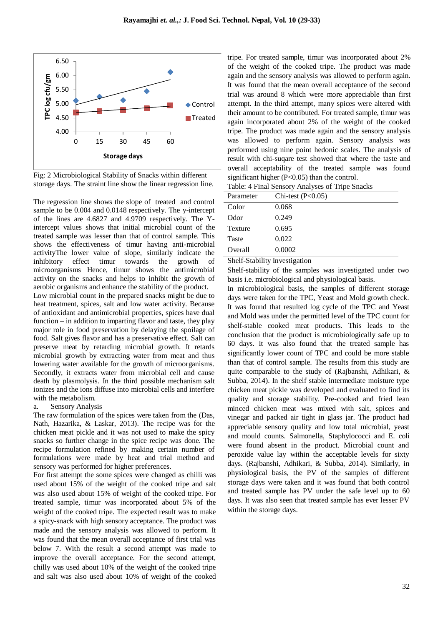

Fig: 2 Microbiological Stability of Snacks within different storage days. The straint line show the linear regression line.

The regression line shows the slope of treated and control sample to be 0.004 and 0.0148 respectively. The y-intercept of the lines are 4.6827 and 4.9709 respectively. The Yintercept values shows that initial microbial count of the treated sample was lesser than that of control sample. This shows the effectiveness of timur having anti-microbial activityThe lower value of slope, similarly indicate the inhibitory effect timur towards the growth of microorganisms Hence, timur shows the antimicrobial activity on the snacks and helps to inhibit the growth of aerobic organisms and enhance the stability of the product.

Low microbial count in the prepared snacks might be due to heat treatment, spices, salt and low water activity. Because of antioxidant and antimicrobial properties, spices have dual function – in addition to imparting flavor and taste, they play major role in food preservation by delaying the spoilage of food. Salt gives flavor and has a preservative effect. Salt can preserve meat by retarding microbial growth. It retards microbial growth by extracting water from meat and thus lowering water available for the growth of microorganisms. Secondly, it extracts water from microbial cell and cause death by plasmolysis. In the third possible mechanism salt ionizes and the ions diffuse into microbial cells and interfere with the metabolism.

#### a. Sensory Analysis

The raw formulation of the spices were taken from the (Das, Nath, Hazarika, & Laskar, 2013). The recipe was for the chicken meat pickle and it was not used to make the spicy snacks so further change in the spice recipe was done. The recipe formulation refined by making certain number of formulations were made by heat and trial method and sensory was performed for higher preferences.

For first attempt the some spices were changed as chilli was used about 15% of the weight of the cooked tripe and salt was also used about 15% of weight of the cooked tripe. For treated sample, timur was incorporated about 5% of the weight of the cooked tripe. The expected result was to make a spicy-snack with high sensory acceptance. The product was made and the sensory analysis was allowed to perform. It was found that the mean overall acceptance of first trial was below 7. With the result a second attempt was made to improve the overall acceptance. For the second attempt, chilly was used about 10% of the weight of the cooked tripe and salt was also used about 10% of weight of the cooked tripe. For treated sample, timur was incorporated about 2% of the weight of the cooked tripe. The product was made again and the sensory analysis was allowed to perform again. It was found that the mean overall acceptance of the second trial was around 8 which were more appreciable than first attempt. In the third attempt, many spices were altered with their amount to be contributed. For treated sample, timur was again incorporated about 2% of the weight of the cooked tripe. The product was made again and the sensory analysis was allowed to perform again. Sensory analysis was performed using nine point hedonic scales. The analysis of result with chi-suqare test showed that where the taste and overall acceptability of the treated sample was found significant higher (P<0.05) than the control.

|            | Table: 4 Final Sensory Analyses of Tripe Snacks         |  |
|------------|---------------------------------------------------------|--|
| Doromotor. | $C_{\rm bi, toot}$ (D <sub><math>&gt;0.05</math>)</sub> |  |

#### Shelf-Stability Investigation

Shelf-stability of the samples was investigated under two basis i.e. microbiological and physiological basis.

In microbiological basis, the samples of different storage days were taken for the TPC, Yeast and Mold growth check. It was found that resulted log cycle of the TPC and Yeast and Mold was under the permitted level of the TPC count for shelf-stable cooked meat products. This leads to the conclusion that the product is microbiologically safe up to 60 days. It was also found that the treated sample has significantly lower count of TPC and could be more stable than that of control sample. The results from this study are quite comparable to the study of (Rajbanshi, Adhikari, & Subba, 2014). In the shelf stable intermediate moisture type chicken meat pickle was developed and evaluated to find its quality and storage stability. Pre-cooked and fried lean minced chicken meat was mixed with salt, spices and vinegar and packed air tight in glass jar. The product had appreciable sensory quality and low total microbial, yeast and mould counts. Salmonella, Staphylococci and E. coli were found absent in the product. Microbial count and peroxide value lay within the acceptable levels for sixty days. (Rajbanshi, Adhikari, & Subba, 2014). Similarly, in physiological basis, the PV of the samples of different storage days were taken and it was found that both control and treated sample has PV under the safe level up to 60 days. It was also seen that treated sample has ever lesser PV within the storage days.